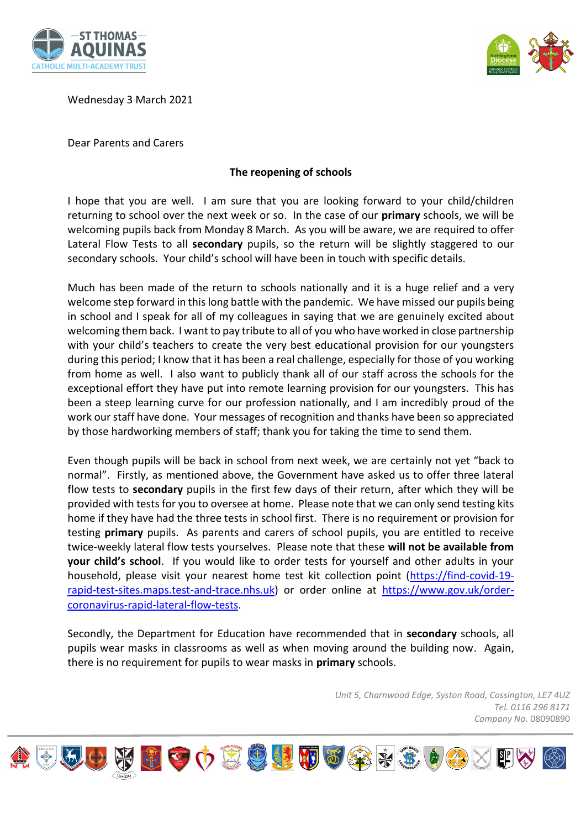



Wednesday 3 March 2021

Dear Parents and Carers

## **The reopening of schools**

I hope that you are well. I am sure that you are looking forward to your child/children returning to school over the next week or so. In the case of our **primary** schools, we will be welcoming pupils back from Monday 8 March. As you will be aware, we are required to offer Lateral Flow Tests to all **secondary** pupils, so the return will be slightly staggered to our secondary schools. Your child's school will have been in touch with specific details.

Much has been made of the return to schools nationally and it is a huge relief and a very welcome step forward in this long battle with the pandemic. We have missed our pupils being in school and I speak for all of my colleagues in saying that we are genuinely excited about welcoming them back. I want to pay tribute to all of you who have worked in close partnership with your child's teachers to create the very best educational provision for our youngsters during this period; I know that it has been a real challenge, especially for those of you working from home as well. I also want to publicly thank all of our staff across the schools for the exceptional effort they have put into remote learning provision for our youngsters. This has been a steep learning curve for our profession nationally, and I am incredibly proud of the work our staff have done. Your messages of recognition and thanks have been so appreciated by those hardworking members of staff; thank you for taking the time to send them.

Even though pupils will be back in school from next week, we are certainly not yet "back to normal". Firstly, as mentioned above, the Government have asked us to offer three lateral flow tests to **secondary** pupils in the first few days of their return, after which they will be provided with tests for you to oversee at home. Please note that we can only send testing kits home if they have had the three tests in school first. There is no requirement or provision for testing **primary** pupils. As parents and carers of school pupils, you are entitled to receive twice-weekly lateral flow tests yourselves. Please note that these **will not be available from your child's school**. If you would like to order tests for yourself and other adults in your household, please visit your nearest home test kit collection point (https://find-covid-19 rapid-test-sites.maps.test-and-trace.nhs.uk) or order online at https://www.gov.uk/ordercoronavirus-rapid-lateral-flow-tests.

Secondly, the Department for Education have recommended that in **secondary** schools, all pupils wear masks in classrooms as well as when moving around the building now. Again, there is no requirement for pupils to wear masks in **primary** schools.

> *Unit 5, Charnwood Edge, Syston Road, Cossington, LE7 4UZ Tel. 0116 296 8171 Company No.* 08090890